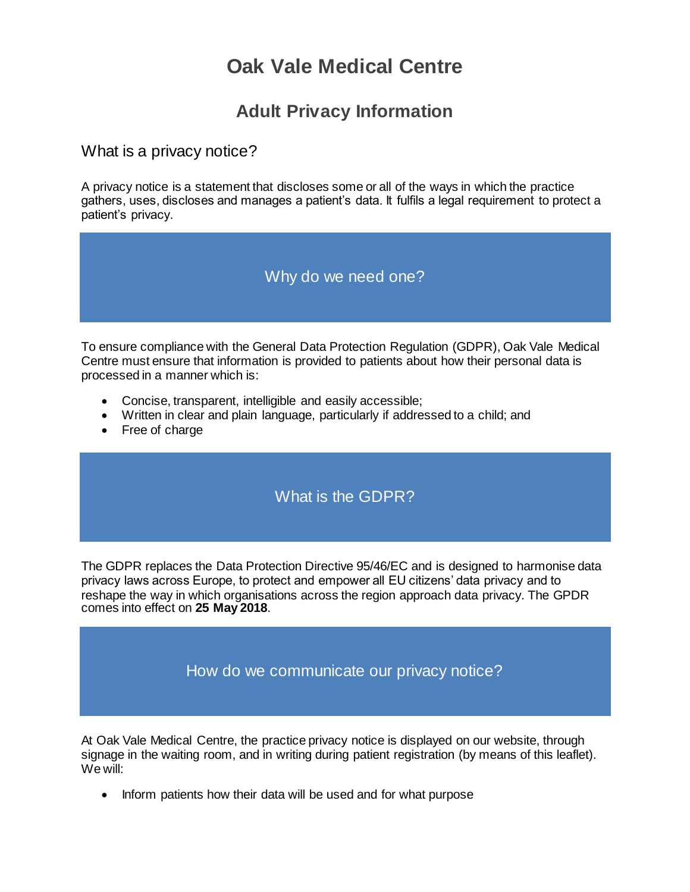# **Oak Vale Medical Centre**

## **Adult Privacy Information**

### What is a privacy notice?

A privacy notice is a statement that discloses some or all of the ways in which the practice gathers, uses, discloses and manages a patient's data. It fulfils a legal requirement to protect a patient's privacy.

### Why do we need one?

To ensure compliance with the General Data Protection Regulation (GDPR), Oak Vale Medical Centre must ensure that information is provided to patients about how their personal data is processed in a manner which is:

- Concise, transparent, intelligible and easily accessible;
- Written in clear and plain language, particularly if addressed to a child; and
- Free of charge

### What is the GDPR?

The GDPR replaces the Data Protection Directive 95/46/EC and is designed to harmonise data privacy laws across Europe, to protect and empower all EU citizens' data privacy and to reshape the way in which organisations across the region approach data privacy. The GPDR comes into effect on **25 May 2018**.

How do we communicate our privacy notice?

At Oak Vale Medical Centre, the practice privacy notice is displayed on our website, through signage in the waiting room, and in writing during patient registration (by means of this leaflet). We will:

• Inform patients how their data will be used and for what purpose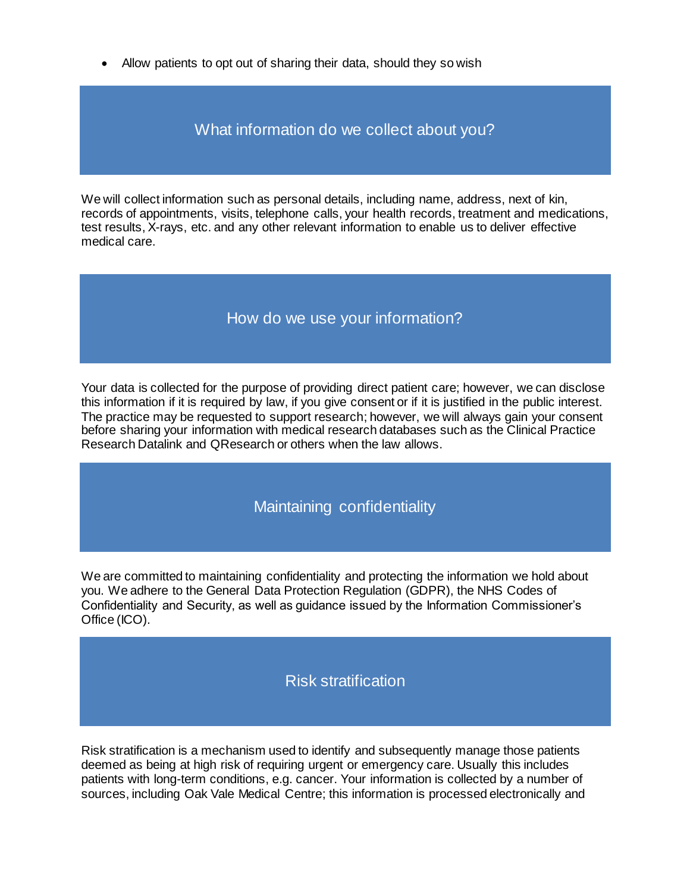• Allow patients to opt out of sharing their data, should they so wish

What information do we collect about you?

We will collect information such as personal details, including name, address, next of kin, records of appointments, visits, telephone calls, your health records, treatment and medications, test results, X-rays, etc. and any other relevant information to enable us to deliver effective medical care.

### How do we use your information?

Your data is collected for the purpose of providing direct patient care; however, we can disclose this information if it is required by law, if you give consent or if it is justified in the public interest. The practice may be requested to support research; however, we will always gain your consent before sharing your information with medical research databases such as the Clinical Practice Research Datalink and QResearch or others when the law allows.

### Maintaining confidentiality

We are committed to maintaining confidentiality and protecting the information we hold about you. We adhere to the General Data Protection Regulation (GDPR), the NHS Codes of Confidentiality and Security, as well as guidance issued by the Information Commissioner's Office (ICO).

### Risk stratification

Risk stratification is a mechanism used to identify and subsequently manage those patients deemed as being at high risk of requiring urgent or emergency care. Usually this includes patients with long-term conditions, e.g. cancer. Your information is collected by a number of sources, including Oak Vale Medical Centre; this information is processed electronically and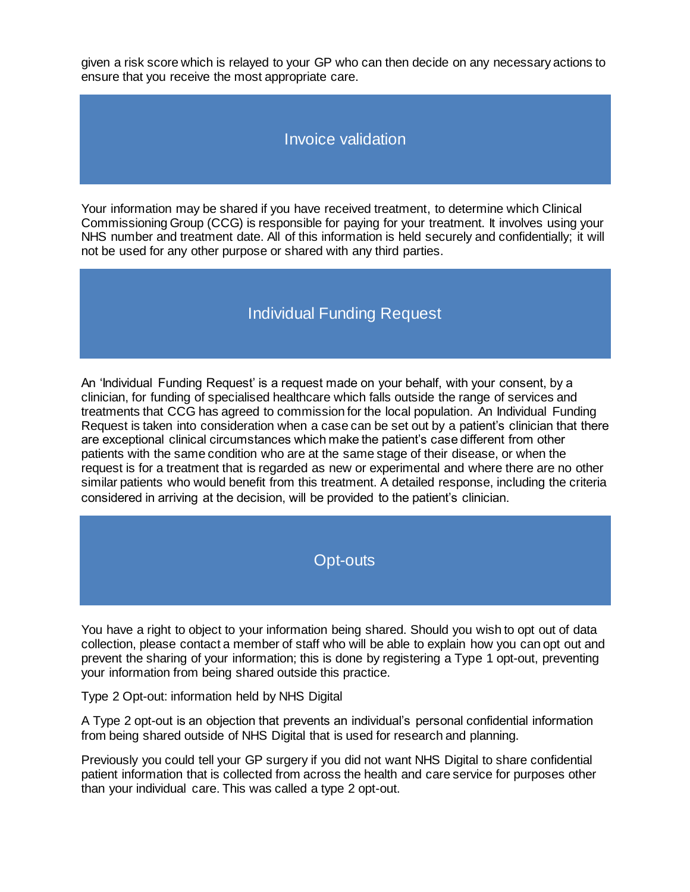given a risk score which is relayed to your GP who can then decide on any necessary actions to ensure that you receive the most appropriate care.

### Invoice validation

Your information may be shared if you have received treatment, to determine which Clinical Commissioning Group (CCG) is responsible for paying for your treatment. It involves using your NHS number and treatment date. All of this information is held securely and confidentially; it will not be used for any other purpose or shared with any third parties.

### Individual Funding Request

An 'Individual Funding Request' is a request made on your behalf, with your consent, by a clinician, for funding of specialised healthcare which falls outside the range of services and treatments that CCG has agreed to commission for the local population. An Individual Funding Request is taken into consideration when a case can be set out by a patient's clinician that there are exceptional clinical circumstances which make the patient's case different from other patients with the same condition who are at the same stage of their disease, or when the request is for a treatment that is regarded as new or experimental and where there are no other similar patients who would benefit from this treatment. A detailed response, including the criteria considered in arriving at the decision, will be provided to the patient's clinician.

### Opt-outs

You have a right to object to your information being shared. Should you wish to opt out of data collection, please contact a member of staff who will be able to explain how you can opt out and prevent the sharing of your information; this is done by registering a Type 1 opt-out, preventing your information from being shared outside this practice.

Type 2 Opt-out: information held by NHS Digital

A Type 2 opt-out is an objection that prevents an individual's personal confidential information from being shared outside of NHS Digital that is used for research and planning.

Previously you could tell your GP surgery if you did not want NHS Digital to share confidential patient information that is collected from across the health and care service for purposes other than your individual care. This was called a type 2 opt-out.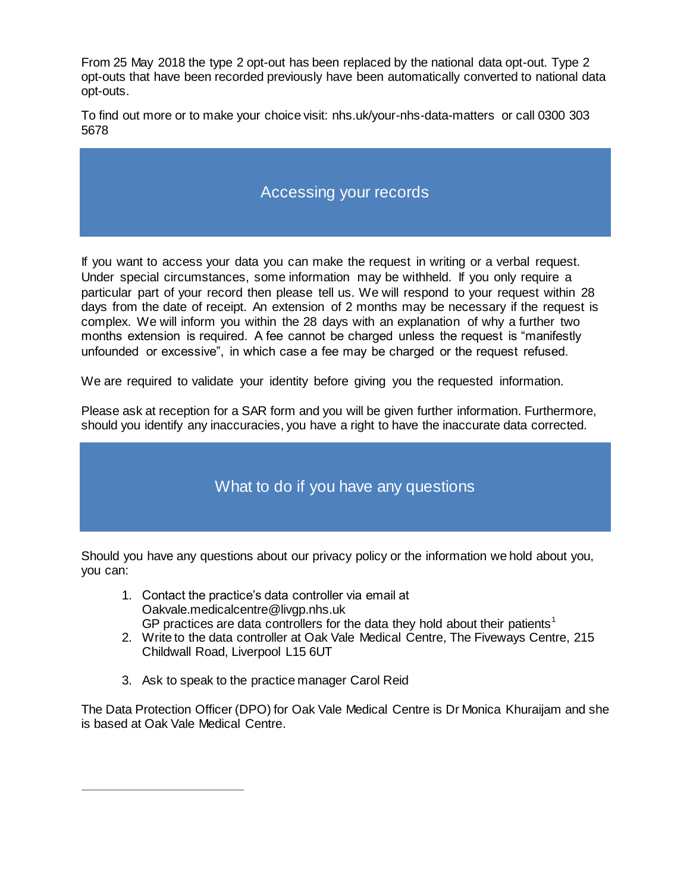From 25 May 2018 the type 2 opt-out has been replaced by the national data opt-out. Type 2 opt-outs that have been recorded previously have been automatically converted to national data opt-outs.

To find out more or to make your choice visit: nhs.uk/your-nhs-data-matters or call 0300 303 5678

### Accessing your records

If you want to access your data you can make the request in writing or a verbal request. Under special circumstances, some information may be withheld. If you only require a particular part of your record then please tell us. We will respond to your request within 28 days from the date of receipt. An extension of 2 months may be necessary if the request is complex. We will inform you within the 28 days with an explanation of why a further two months extension is required. A fee cannot be charged unless the request is "manifestly unfounded or excessive", in which case a fee may be charged or the request refused.

We are required to validate your identity before giving you the requested information.

Please ask at reception for a SAR form and you will be given further information. Furthermore, should you identify any inaccuracies, you have a right to have the inaccurate data corrected.

# What to do if you have any questions

Should you have any questions about our privacy policy or the information we hold about you, you can:

- 1. Contact the practice's data controller via email at Oakvale.medicalcentre@livgp.nhs.uk GP practices are data controllers for the data they hold about their patients<sup>1</sup>
- 2. Write to the data controller at Oak Vale Medical Centre, The Fiveways Centre, 215 Childwall Road, Liverpool L15 6UT
- 3. Ask to speak to the practice manager Carol Reid

 $\overline{a}$ 

The Data Protection Officer (DPO) for Oak Vale Medical Centre is Dr Monica Khuraijam and she is based at Oak Vale Medical Centre.